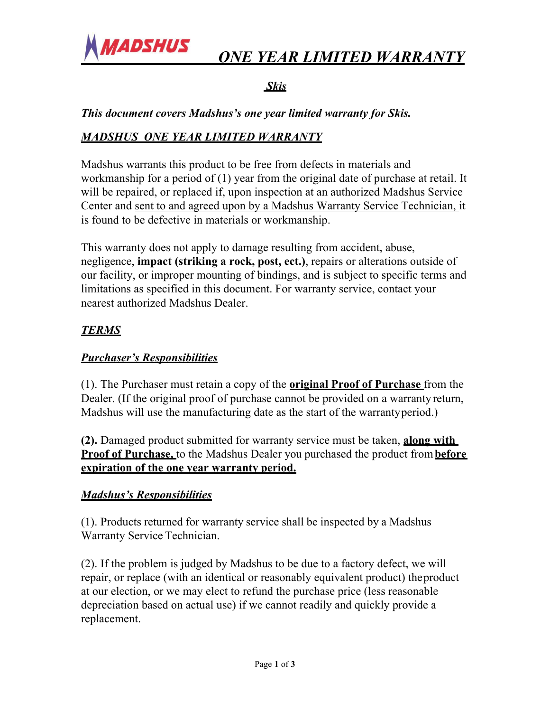

# *ONE YEAR LIMITED WARRANTY*

# *Skis*

*This document covers Madshus's one year limited warranty for Skis.* 

# *MADSHUS ONE YEAR LIMITED WARRANTY*

Madshus warrants this product to be free from defects in materials and workmanship for a period of (1) year from the original date of purchase at retail. It will be repaired, or replaced if, upon inspection at an authorized Madshus Service Center and sent to and agreed upon by a Madshus Warranty Service Technician, it is found to be defective in materials or workmanship.

This warranty does not apply to damage resulting from accident, abuse, negligence, **impact (striking a rock, post, ect.)**, repairs or alterations outside of our facility, or improper mounting of bindings, and is subject to specific terms and limitations as specified in this document. For warranty service, contact your nearest authorized Madshus Dealer.

# *TERMS*

### *Purchaser's Responsibilities*

(1). The Purchaser must retain a copy of the **original Proof of Purchase** from the Dealer. (If the original proof of purchase cannot be provided on a warranty return, Madshus will use the manufacturing date as the start of the warrantyperiod.)

**(2).** Damaged product submitted for warranty service must be taken, **along with Proof of Purchase,** to the Madshus Dealer you purchased the product from**before expiration of the one year warranty period.**

#### *Madshus's Responsibilities*

(1). Products returned for warranty service shall be inspected by a Madshus Warranty Service Technician.

(2). If the problem is judged by Madshus to be due to a factory defect, we will repair, or replace (with an identical or reasonably equivalent product) theproduct at our election, or we may elect to refund the purchase price (less reasonable depreciation based on actual use) if we cannot readily and quickly provide a replacement.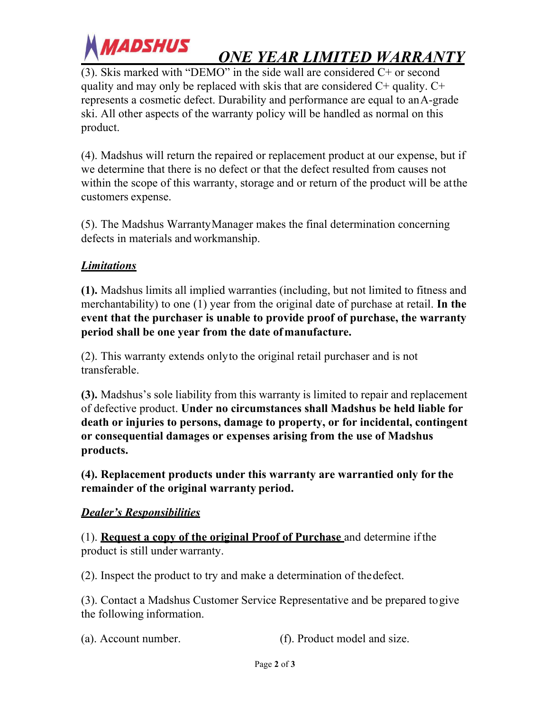

# *ONE YEAR LIMITED WARRANTY*

(3). Skis marked with "DEMO" in the side wall are considered C+ or second quality and may only be replaced with skis that are considered C+ quality. C+ represents a cosmetic defect. Durability and performance are equal to anA-grade ski. All other aspects of the warranty policy will be handled as normal on this product.

(4). Madshus will return the repaired or replacement product at our expense, but if we determine that there is no defect or that the defect resulted from causes not within the scope of this warranty, storage and or return of the product will be atthe customers expense.

(5). The Madshus WarrantyManager makes the final determination concerning defects in materials and workmanship.

#### *Limitations*

**(1).** Madshus limits all implied warranties (including, but not limited to fitness and merchantability) to one (1) year from the original date of purchase at retail. **In the event that the purchaser is unable to provide proof of purchase, the warranty period shall be one year from the date ofmanufacture.**

(2). This warranty extends onlyto the original retail purchaser and is not transferable.

**(3).** Madshus's sole liability from this warranty is limited to repair and replacement of defective product. **Under no circumstances shall Madshus be held liable for death or injuries to persons, damage to property, or for incidental, contingent or consequential damages or expenses arising from the use of Madshus products.**

**(4). Replacement products under this warranty are warrantied only for the remainder of the original warranty period.**

#### *Dealer's Responsibilities*

(1). **Request a copy of the original Proof of Purchase** and determine ifthe product is still under warranty.

(2). Inspect the product to try and make a determination of thedefect.

(3). Contact a Madshus Customer Service Representative and be prepared togive the following information.

(a). Account number. (f). Product model and size.